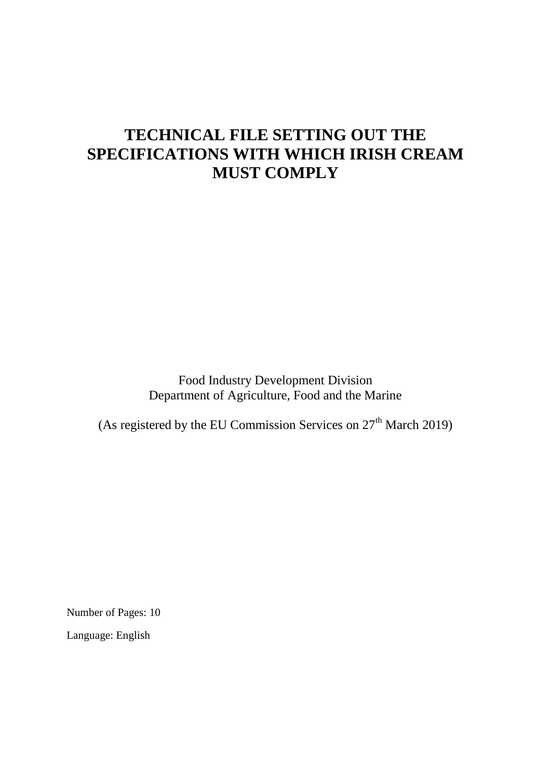# **TECHNICAL FILE SETTING OUT THE SPECIFICATIONS WITH WHICH IRISH CREAM MUST COMPLY**

Food Industry Development Division Department of Agriculture, Food and the Marine

(As registered by the EU Commission Services on  $27<sup>th</sup>$  March 2019)

Number of Pages: 10

Language: English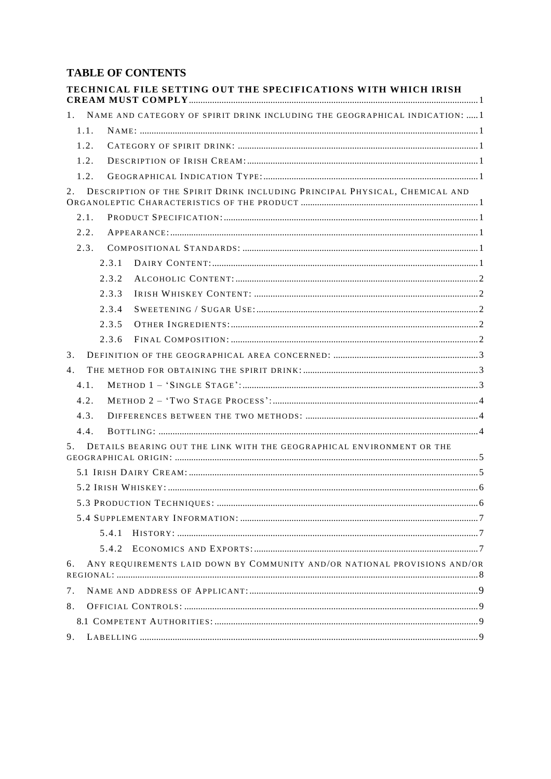## **TABLE OF CONTENTS**

| <b>TECHNICAL FILE SETTING OUT THE SPECIFICATIONS WITH WHICH IRISH</b>             |  |
|-----------------------------------------------------------------------------------|--|
| NAME AND CATEGORY OF SPIRIT DRINK INCLUDING THE GEOGRAPHICAL INDICATION:  1<br>1. |  |
| 1.1.                                                                              |  |
| 1.2.                                                                              |  |
| 1.2.                                                                              |  |
| 1.2.                                                                              |  |
| DESCRIPTION OF THE SPIRIT DRINK INCLUDING PRINCIPAL PHYSICAL, CHEMICAL AND<br>2.  |  |
| 2.1.                                                                              |  |
| 2.2.                                                                              |  |
| 2.3.                                                                              |  |
| 2.3.1                                                                             |  |
| 2.3.2                                                                             |  |
| 2.3.3                                                                             |  |
| 2.3.4                                                                             |  |
| 2.3.5                                                                             |  |
| 2.3.6                                                                             |  |
| 3.                                                                                |  |
| $4_{\cdot}$                                                                       |  |
| 4.1.                                                                              |  |
| 4.2.                                                                              |  |
| 4.3.                                                                              |  |
| 4.4.                                                                              |  |
| DETAILS BEARING OUT THE LINK WITH THE GEOGRAPHICAL ENVIRONMENT OR THE<br>5.       |  |
|                                                                                   |  |
|                                                                                   |  |
|                                                                                   |  |
|                                                                                   |  |
| 5.4.1                                                                             |  |
| 5.4.2                                                                             |  |
| ANY REQUIREMENTS LAID DOWN BY COMMUNITY AND/OR NATIONAL PROVISIONS AND/OR<br>6.   |  |
| 7 <sub>1</sub>                                                                    |  |
| 8.                                                                                |  |
|                                                                                   |  |
| 9.                                                                                |  |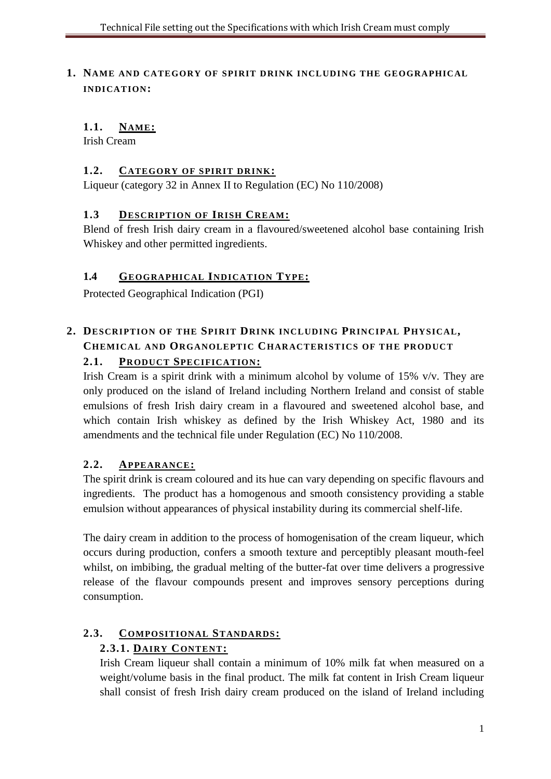<span id="page-2-0"></span>**1. NAME AND CATEGORY OF SPIRIT DRINK INCLUDING THE GEOGRAPHICAL INDICATION:**

# <span id="page-2-1"></span>**1.1. NAME:**

Irish Cream

## <span id="page-2-2"></span>**1.2. CATEGORY OF SPIRIT DRINK:**

Liqueur (category 32 in Annex II to Regulation (EC) No 110/2008)

## **1.3 DESCRIPTION OF IRISH CREAM:**

Blend of fresh Irish dairy cream in a flavoured/sweetened alcohol base containing Irish Whiskey and other permitted ingredients.

## **1.4 GEOGRAPHICAL INDICATION TYPE:**

Protected Geographical Indication (PGI)

# <span id="page-2-3"></span>**2. DESCRIPTION OF THE SPIRIT DRINK INCLUDING PRINCIPAL PHYSICAL, CHEMICAL AND ORGANOLEPTIC CHARACTERISTICS OF THE PRODUCT 2.1. PRODUCT SPECIFICATION:**

Irish Cream is a spirit drink with a minimum alcohol by volume of 15% v/v. They are only produced on the island of Ireland including Northern Ireland and consist of stable emulsions of fresh Irish dairy cream in a flavoured and sweetened alcohol base, and which contain Irish whiskey as defined by the Irish Whiskey Act, 1980 and its amendments and the technical file under Regulation (EC) No 110/2008.

# **2.2. APPEARANCE:**

The spirit drink is cream coloured and its hue can vary depending on specific flavours and ingredients. The product has a homogenous and smooth consistency providing a stable emulsion without appearances of physical instability during its commercial shelf-life.

The dairy cream in addition to the process of homogenisation of the cream liqueur, which occurs during production, confers a smooth texture and perceptibly pleasant mouth-feel whilst, on imbibing, the gradual melting of the butter-fat over time delivers a progressive release of the flavour compounds present and improves sensory perceptions during consumption.

# **2.3. COMPOSITIONAL STANDARDS:**

# **2.3.1. DAIRY CONTENT:**

Irish Cream liqueur shall contain a minimum of 10% milk fat when measured on a weight/volume basis in the final product. The milk fat content in Irish Cream liqueur shall consist of fresh Irish dairy cream produced on the island of Ireland including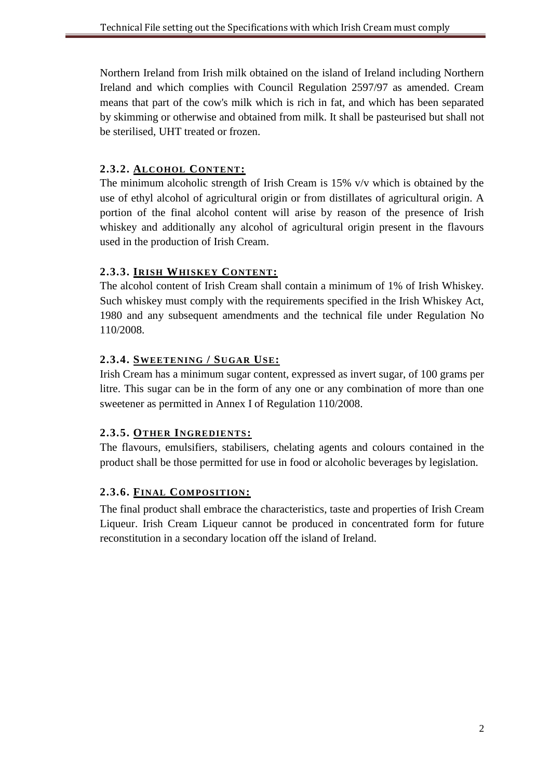Northern Ireland from Irish milk obtained on the island of Ireland including Northern Ireland and which complies with Council Regulation 2597/97 as amended. Cream means that part of the cow's milk which is rich in fat, and which has been separated by skimming or otherwise and obtained from milk. It shall be pasteurised but shall not be sterilised, UHT treated or frozen.

## **2.3.2. ALCOHOL CONTENT:**

The minimum alcoholic strength of Irish Cream is  $15\%$  v/v which is obtained by the use of ethyl alcohol of agricultural origin or from distillates of agricultural origin. A portion of the final alcohol content will arise by reason of the presence of Irish whiskey and additionally any alcohol of agricultural origin present in the flavours used in the production of Irish Cream.

## **2.3.3. IRISH WHISKEY CONTENT:**

The alcohol content of Irish Cream shall contain a minimum of 1% of Irish Whiskey. Such whiskey must comply with the requirements specified in the Irish Whiskey Act, 1980 and any subsequent amendments and the technical file under Regulation No 110/2008.

## **2.3.4. SWEETENING / SUGAR USE:**

Irish Cream has a minimum sugar content, expressed as invert sugar, of 100 grams per litre. This sugar can be in the form of any one or any combination of more than one sweetener as permitted in Annex I of Regulation 110/2008.

# **2.3.5. OTHER INGREDIENTS:**

The flavours, emulsifiers, stabilisers, chelating agents and colours contained in the product shall be those permitted for use in food or alcoholic beverages by legislation.

# **2.3.6. FINAL COMPOSITION:**

The final product shall embrace the characteristics, taste and properties of Irish Cream Liqueur. Irish Cream Liqueur cannot be produced in concentrated form for future reconstitution in a secondary location off the island of Ireland.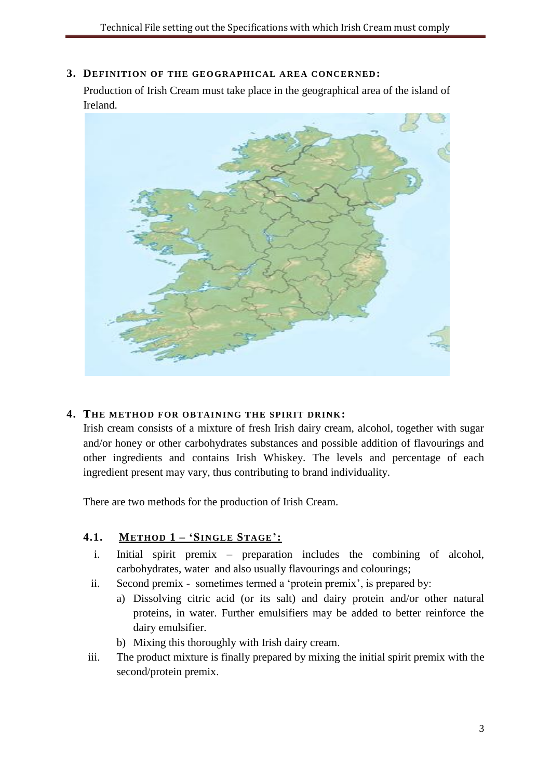#### <span id="page-4-0"></span>**3. DEFINITION OF THE GEOGRAPHICAL AREA CONCERNED:**

Production of Irish Cream must take place in the geographical area of the island of Ireland.



#### <span id="page-4-1"></span>**4. THE METHOD FOR OBTAINING THE SPIRIT DRINK:**

Irish cream consists of a mixture of fresh Irish dairy cream, alcohol, together with sugar and/or honey or other carbohydrates substances and possible addition of flavourings and other ingredients and contains Irish Whiskey. The levels and percentage of each ingredient present may vary, thus contributing to brand individuality.

There are two methods for the production of Irish Cream.

## **4.1. METHOD 1 – 'SINGLE STAGE':**

- i. Initial spirit premix preparation includes the combining of alcohol, carbohydrates, water and also usually flavourings and colourings;
- ii. Second premix sometimes termed a 'protein premix', is prepared by:
	- a) Dissolving citric acid (or its salt) and dairy protein and/or other natural proteins, in water. Further emulsifiers may be added to better reinforce the dairy emulsifier.
	- b) Mixing this thoroughly with Irish dairy cream.
- iii. The product mixture is finally prepared by mixing the initial spirit premix with the second/protein premix.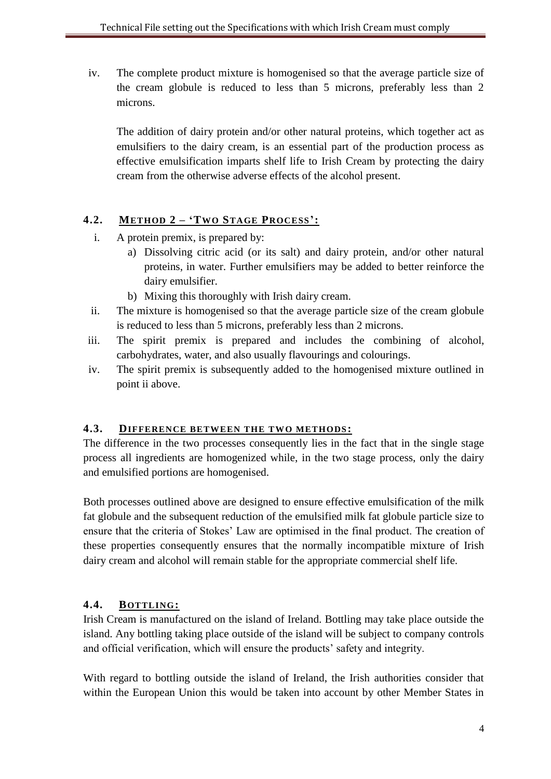iv. The complete product mixture is homogenised so that the average particle size of the cream globule is reduced to less than 5 microns, preferably less than 2 microns.

The addition of dairy protein and/or other natural proteins, which together act as emulsifiers to the dairy cream, is an essential part of the production process as effective emulsification imparts shelf life to Irish Cream by protecting the dairy cream from the otherwise adverse effects of the alcohol present.

## **4.2. METHOD 2 – 'TWO STAGE PROCESS':**

- i. A protein premix, is prepared by:
	- a) Dissolving citric acid (or its salt) and dairy protein, and/or other natural proteins, in water. Further emulsifiers may be added to better reinforce the dairy emulsifier.
	- b) Mixing this thoroughly with Irish dairy cream.
- ii. The mixture is homogenised so that the average particle size of the cream globule is reduced to less than 5 microns, preferably less than 2 microns.
- iii. The spirit premix is prepared and includes the combining of alcohol, carbohydrates, water, and also usually flavourings and colourings.
- iv. The spirit premix is subsequently added to the homogenised mixture outlined in point ii above.

## **4.3. DIFFERENCE BETWEEN THE TWO METHODS:**

The difference in the two processes consequently lies in the fact that in the single stage process all ingredients are homogenized while, in the two stage process, only the dairy and emulsified portions are homogenised.

Both processes outlined above are designed to ensure effective emulsification of the milk fat globule and the subsequent reduction of the emulsified milk fat globule particle size to ensure that the criteria of Stokes' Law are optimised in the final product. The creation of these properties consequently ensures that the normally incompatible mixture of Irish dairy cream and alcohol will remain stable for the appropriate commercial shelf life.

## **4.4. BOTTLING:**

Irish Cream is manufactured on the island of Ireland. Bottling may take place outside the island. Any bottling taking place outside of the island will be subject to company controls and official verification, which will ensure the products' safety and integrity.

With regard to bottling outside the island of Ireland, the Irish authorities consider that within the European Union this would be taken into account by other Member States in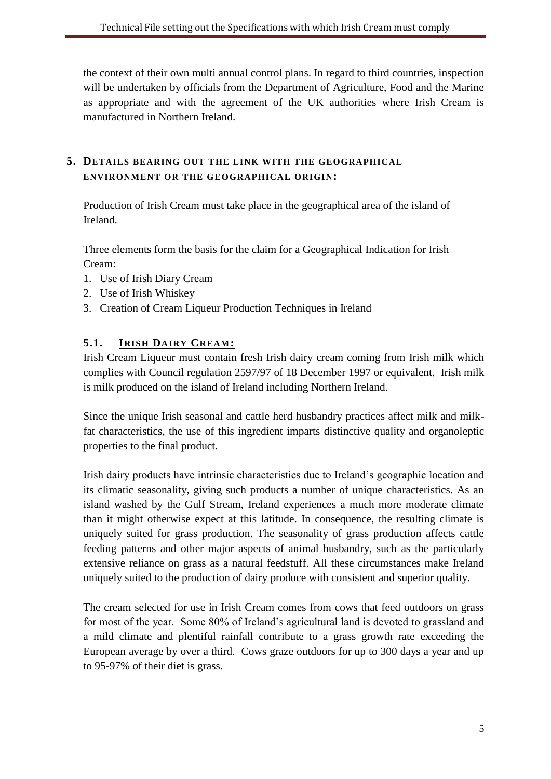the context of their own multi annual control plans. In regard to third countries, inspection will be undertaken by officials from the Department of Agriculture, Food and the Marine as appropriate and with the agreement of the UK authorities where Irish Cream is manufactured in Northern Ireland.

## <span id="page-6-0"></span>**5. DETAILS BEARING OUT THE LINK WITH THE GEOGRAPHICAL ENVIRONMENT OR THE GEOGRAPHICAL ORIGIN:**

Production of Irish Cream must take place in the geographical area of the island of Ireland.

Three elements form the basis for the claim for a Geographical Indication for Irish Cream:

- 1. Use of Irish Diary Cream
- 2. Use of Irish Whiskey
- 3. Creation of Cream Liqueur Production Techniques in Ireland

# **5.1. IRISH DAIRY CREAM:**

Irish Cream Liqueur must contain fresh Irish dairy cream coming from Irish milk which complies with Council regulation 2597/97 of 18 December 1997 or equivalent. Irish milk is milk produced on the island of Ireland including Northern Ireland.

Since the unique Irish seasonal and cattle herd husbandry practices affect milk and milkfat characteristics, the use of this ingredient imparts distinctive quality and organoleptic properties to the final product.

Irish dairy products have intrinsic characteristics due to Ireland's geographic location and its climatic seasonality, giving such products a number of unique characteristics. As an island washed by the Gulf Stream, Ireland experiences a much more moderate climate than it might otherwise expect at this latitude. In consequence, the resulting climate is uniquely suited for grass production. The seasonality of grass production affects cattle feeding patterns and other major aspects of animal husbandry, such as the particularly extensive reliance on grass as a natural feedstuff. All these circumstances make Ireland uniquely suited to the production of dairy produce with consistent and superior quality.

The cream selected for use in Irish Cream comes from cows that feed outdoors on grass for most of the year. Some 80% of Ireland's agricultural land is devoted to grassland and a mild climate and plentiful rainfall contribute to a grass growth rate exceeding the European average by over a third. Cows graze outdoors for up to 300 days a year and up to 95-97% of their diet is grass.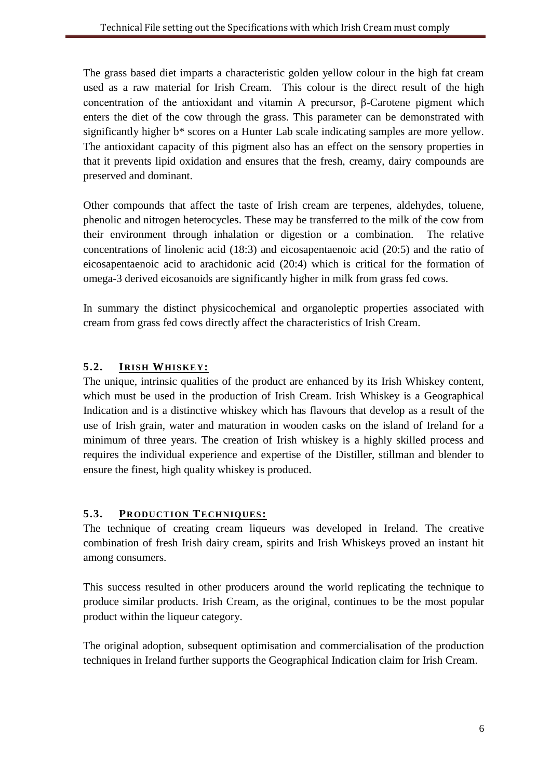The grass based diet imparts a characteristic golden yellow colour in the high fat cream used as a raw material for Irish Cream. This colour is the direct result of the high concentration of the antioxidant and vitamin A precursor, β-Carotene pigment which enters the diet of the cow through the grass. This parameter can be demonstrated with significantly higher b\* scores on a Hunter Lab scale indicating samples are more yellow. The antioxidant capacity of this pigment also has an effect on the sensory properties in that it prevents lipid oxidation and ensures that the fresh, creamy, dairy compounds are preserved and dominant.

Other compounds that affect the taste of Irish cream are terpenes, aldehydes, toluene, phenolic and nitrogen heterocycles. These may be transferred to the milk of the cow from their environment through inhalation or digestion or a combination. The relative concentrations of linolenic acid (18:3) and eicosapentaenoic acid (20:5) and the ratio of eicosapentaenoic acid to arachidonic acid (20:4) which is critical for the formation of omega-3 derived eicosanoids are significantly higher in milk from grass fed cows.

In summary the distinct physicochemical and organoleptic properties associated with cream from grass fed cows directly affect the characteristics of Irish Cream.

# **5.2. IRISH WHISKEY:**

The unique, intrinsic qualities of the product are enhanced by its Irish Whiskey content, which must be used in the production of Irish Cream. Irish Whiskey is a Geographical Indication and is a distinctive whiskey which has flavours that develop as a result of the use of Irish grain, water and maturation in wooden casks on the island of Ireland for a minimum of three years. The creation of Irish whiskey is a highly skilled process and requires the individual experience and expertise of the Distiller, stillman and blender to ensure the finest, high quality whiskey is produced.

## **5.3. PRODUCTION TECHNIQUES:**

The technique of creating cream liqueurs was developed in Ireland. The creative combination of fresh Irish dairy cream, spirits and Irish Whiskeys proved an instant hit among consumers.

This success resulted in other producers around the world replicating the technique to produce similar products. Irish Cream, as the original, continues to be the most popular product within the liqueur category.

The original adoption, subsequent optimisation and commercialisation of the production techniques in Ireland further supports the Geographical Indication claim for Irish Cream.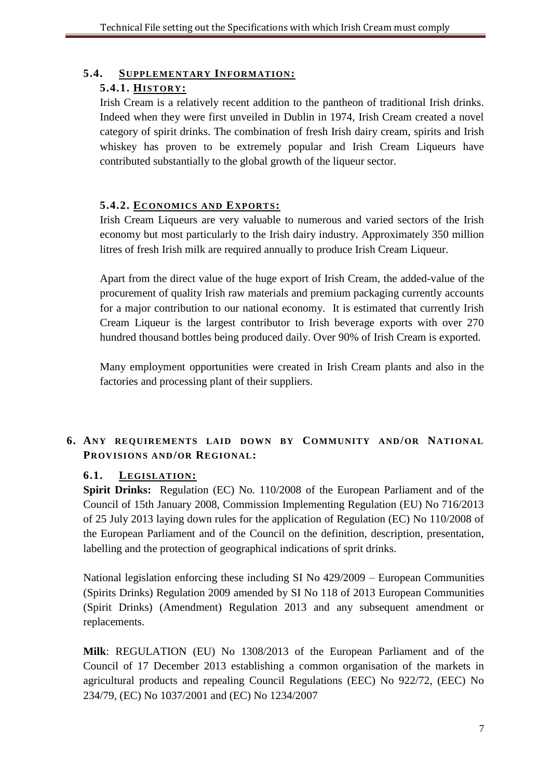## **5.4. SUPPLEMENTARY INFORMATION:**

## **5.4.1. HISTORY:**

Irish Cream is a relatively recent addition to the pantheon of traditional Irish drinks. Indeed when they were first unveiled in Dublin in 1974, Irish Cream created a novel category of spirit drinks. The combination of fresh Irish dairy cream, spirits and Irish whiskey has proven to be extremely popular and Irish Cream Liqueurs have contributed substantially to the global growth of the liqueur sector.

## **5.4.2. ECONOMICS AND EXPORTS:**

Irish Cream Liqueurs are very valuable to numerous and varied sectors of the Irish economy but most particularly to the Irish dairy industry. Approximately 350 million litres of fresh Irish milk are required annually to produce Irish Cream Liqueur.

Apart from the direct value of the huge export of Irish Cream, the added-value of the procurement of quality Irish raw materials and premium packaging currently accounts for a major contribution to our national economy. It is estimated that currently Irish Cream Liqueur is the largest contributor to Irish beverage exports with over 270 hundred thousand bottles being produced daily. Over 90% of Irish Cream is exported.

Many employment opportunities were created in Irish Cream plants and also in the factories and processing plant of their suppliers.

# **6. ANY REQUIREMENTS LAID DOWN BY COMMUNITY AND/OR NATIONAL PROVISIONS AND/OR REGIONAL:**

# **6.1. LEGISLATION:**

**Spirit Drinks:** Regulation (EC) No. 110/2008 of the European Parliament and of the Council of 15th January 2008, Commission Implementing Regulation (EU) No 716/2013 of 25 July 2013 laying down rules for the application of Regulation (EC) No 110/2008 of the European Parliament and of the Council on the definition, description, presentation, labelling and the protection of geographical indications of sprit drinks.

National legislation enforcing these including SI No 429/2009 – European Communities (Spirits Drinks) Regulation 2009 amended by SI No 118 of 2013 European Communities (Spirit Drinks) (Amendment) Regulation 2013 and any subsequent amendment or replacements.

**Milk**: REGULATION (EU) No 1308/2013 of the European Parliament and of the Council of 17 December 2013 establishing a common organisation of the markets in agricultural products and repealing Council Regulations (EEC) No 922/72, (EEC) No 234/79, (EC) No 1037/2001 and (EC) No 1234/2007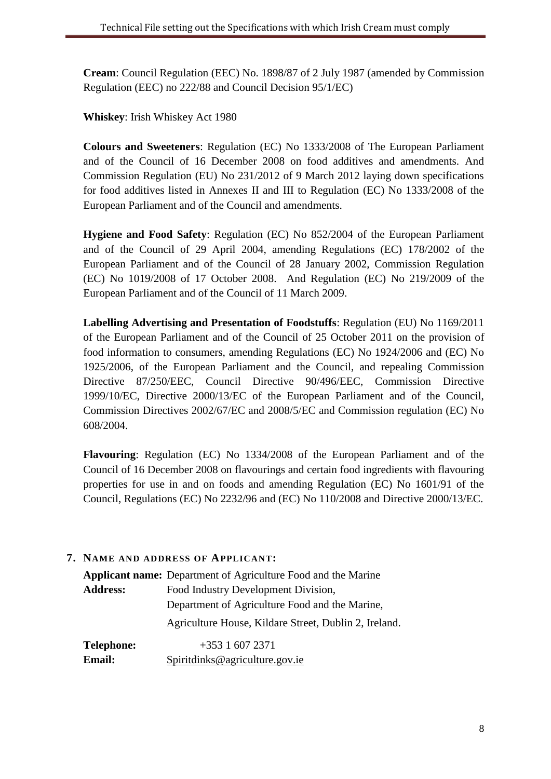**Cream**: Council Regulation (EEC) No. 1898/87 of 2 July 1987 (amended by Commission Regulation (EEC) no 222/88 and Council Decision 95/1/EC)

**Whiskey**: Irish Whiskey Act 1980

**Colours and Sweeteners**: Regulation (EC) No 1333/2008 of The European Parliament and of the Council of 16 December 2008 on food additives and amendments. And Commission Regulation (EU) No 231/2012 of 9 March 2012 laying down specifications for food additives listed in Annexes II and III to Regulation (EC) No 1333/2008 of the European Parliament and of the Council and amendments.

**Hygiene and Food Safety**: Regulation (EC) No 852/2004 of the European Parliament and of the Council of 29 April 2004, amending Regulations (EC) 178/2002 of the European Parliament and of the Council of 28 January 2002, Commission Regulation (EC) No 1019/2008 of 17 October 2008. And Regulation (EC) No 219/2009 of the European Parliament and of the Council of 11 March 2009.

**Labelling Advertising and Presentation of Foodstuffs**: Regulation (EU) No 1169/2011 of the European Parliament and of the Council of 25 October 2011 on the provision of food information to consumers, amending Regulations (EC) No 1924/2006 and (EC) No 1925/2006, of the European Parliament and the Council, and repealing Commission Directive 87/250/EEC, Council Directive 90/496/EEC, Commission Directive 1999/10/EC, Directive 2000/13/EC of the European Parliament and of the Council, Commission Directives 2002/67/EC and 2008/5/EC and Commission regulation (EC) No 608/2004.

**Flavouring**: Regulation (EC) No 1334/2008 of the European Parliament and of the Council of 16 December 2008 on flavourings and certain food ingredients with flavouring properties for use in and on foods and amending Regulation (EC) No 1601/91 of the Council, Regulations (EC) No 2232/96 and (EC) No 110/2008 and Directive 2000/13/EC.

#### <span id="page-9-0"></span>**7. NAME AND ADDRESS OF APPLICANT:**

**Applicant name:** Department of Agriculture Food and the Marine **Address:** Food Industry Development Division, Department of Agriculture Food and the Marine, Agriculture House, Kildare Street, Dublin 2, Ireland.

**Telephone:** +353 1 607 2371 **Email:** [Spiritdinks@agriculture.gov.ie](mailto:Spiritdinks@agriculture.gov.ie)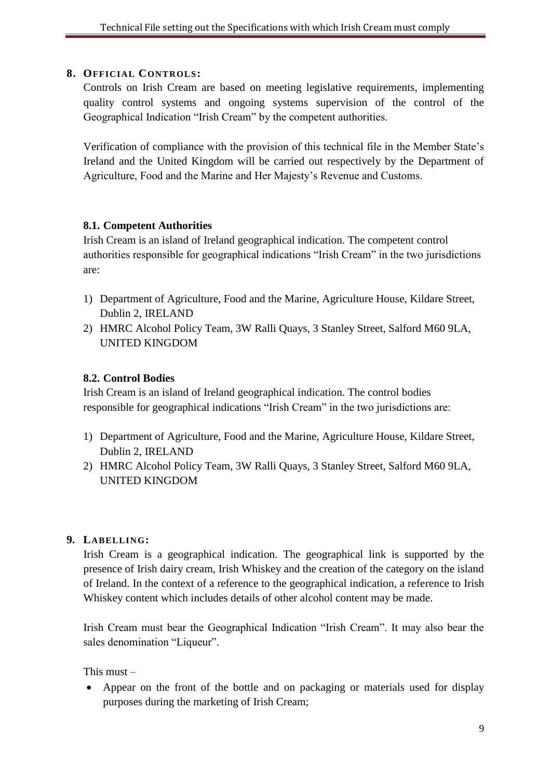#### **8. OFFICIAL CONTROLS:**

Controls on Irish Cream are based on meeting legislative requirements, implementing quality control systems and ongoing systems supervision of the control of the Geographical Indication "Irish Cream" by the competent authorities.

Verification of compliance with the provision of this technical file in the Member State's Ireland and the United Kingdom will be carried out respectively by the Department of Agriculture, Food and the Marine and Her Majesty's Revenue and Customs.

#### **8.1. Competent Authorities**

Irish Cream is an island of Ireland geographical indication. The competent control authorities responsible for geographical indications "Irish Cream" in the two jurisdictions are:

- 1) Department of Agriculture, Food and the Marine, Agriculture House, Kildare Street, Dublin 2, IRELAND
- 2) HMRC Alcohol Policy Team, 3W Ralli Quays, 3 Stanley Street, Salford M60 9LA, UNITED KINGDOM

#### **8.2. Control Bodies**

Irish Cream is an island of Ireland geographical indication. The control bodies responsible for geographical indications "Irish Cream" in the two jurisdictions are:

- 1) Department of Agriculture, Food and the Marine, Agriculture House, Kildare Street, Dublin 2, IRELAND
- 2) HMRC Alcohol Policy Team, 3W Ralli Quays, 3 Stanley Street, Salford M60 9LA, UNITED KINGDOM

#### <span id="page-10-0"></span>**9. LABELLING:**

Irish Cream is a geographical indication. The geographical link is supported by the presence of Irish dairy cream, Irish Whiskey and the creation of the category on the island of Ireland. In the context of a reference to the geographical indication, a reference to Irish Whiskey content which includes details of other alcohol content may be made.

Irish Cream must bear the Geographical Indication "Irish Cream". It may also bear the sales denomination "Liqueur".

This must  $-$ 

 Appear on the front of the bottle and on packaging or materials used for display purposes during the marketing of Irish Cream;